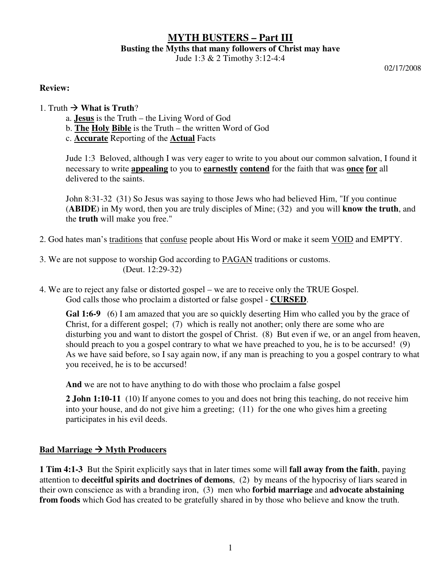# **MYTH BUSTERS – Part III Busting the Myths that many followers of Christ may have**

Jude 1:3 & 2 Timothy 3:12-4:4

02/17/2008

#### **Review:**

- 1. Truth  $\rightarrow$  **What is Truth**?
	- a. **Jesus** is the Truth the Living Word of God
	- b. **The Holy Bible** is the Truth the written Word of God
	- c. **Accurate** Reporting of the **Actual** Facts

Jude 1:3 Beloved, although I was very eager to write to you about our common salvation, I found it necessary to write **appealing** to you to **earnestly contend** for the faith that was **once for** all delivered to the saints.

John 8:31-32 (31) So Jesus was saying to those Jews who had believed Him, "If you continue (**ABIDE**) in My word, then you are truly disciples of Mine; (32) and you will **know the truth**, and the **truth** will make you free."

- 2. God hates man's traditions that confuse people about His Word or make it seem VOID and EMPTY.
- 3. We are not suppose to worship God according to PAGAN traditions or customs. (Deut. 12:29-32)
- 4. We are to reject any false or distorted gospel we are to receive only the TRUE Gospel. God calls those who proclaim a distorted or false gospel - **CURSED**.

**Gal 1:6-9** (6) I am amazed that you are so quickly deserting Him who called you by the grace of Christ, for a different gospel; (7) which is really not another; only there are some who are disturbing you and want to distort the gospel of Christ. (8) But even if we, or an angel from heaven, should preach to you a gospel contrary to what we have preached to you, he is to be accursed! (9) As we have said before, so I say again now, if any man is preaching to you a gospel contrary to what you received, he is to be accursed!

**And** we are not to have anything to do with those who proclaim a false gospel

**2 John 1:10-11** (10) If anyone comes to you and does not bring this teaching, do not receive him into your house, and do not give him a greeting; (11) for the one who gives him a greeting participates in his evil deeds.

## Bad Marriage  $\rightarrow$  Myth Producers

**1 Tim 4:1-3** But the Spirit explicitly says that in later times some will **fall away from the faith**, paying attention to **deceitful spirits and doctrines of demons**, (2) by means of the hypocrisy of liars seared in their own conscience as with a branding iron, (3) men who **forbid marriage** and **advocate abstaining from foods** which God has created to be gratefully shared in by those who believe and know the truth.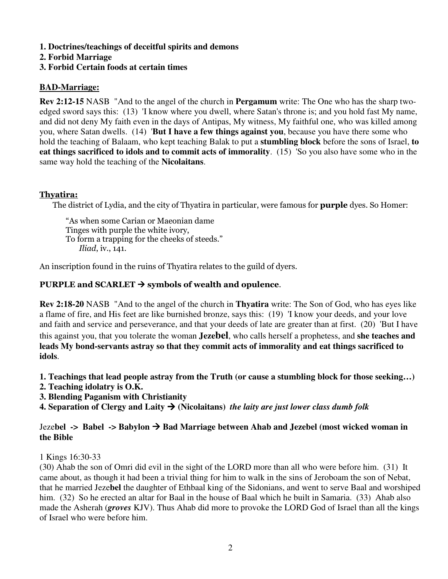**1. Doctrines/teachings of deceitful spirits and demons** 

**2. Forbid Marriage** 

# **3. Forbid Certain foods at certain times**

# **BAD-Marriage:**

**Rev 2:12-15** NASB "And to the angel of the church in **Pergamum** write: The One who has the sharp twoedged sword says this: (13) 'I know where you dwell, where Satan's throne is; and you hold fast My name, and did not deny My faith even in the days of Antipas, My witness, My faithful one, who was killed among you, where Satan dwells. (14) '**But I have a few things against you**, because you have there some who hold the teaching of Balaam, who kept teaching Balak to put a **stumbling block** before the sons of Israel, **to eat things sacrificed to idols and to commit acts of immorality**. (15) 'So you also have some who in the same way hold the teaching of the **Nicolaitans**.

# Thyatira:

The district of Lydia, and the city of Thyatira in particular, were famous for **purple** dyes. So Homer:

"As when some Carian or Maeonian dame Tinges with purple the white ivory, To form a trapping for the cheeks of steeds." Iliad, iv., 141.

An inscription found in the ruins of Thyatira relates to the guild of dyers.

# PURPLE and SCARLET  $\rightarrow$  symbols of wealth and opulence.

**Rev 2:18-20** NASB "And to the angel of the church in **Thyatira** write: The Son of God, who has eyes like a flame of fire, and His feet are like burnished bronze, says this: (19) 'I know your deeds, and your love and faith and service and perseverance, and that your deeds of late are greater than at first. (20) 'But I have this against you, that you tolerate the woman **Jezebel**, who calls herself a prophetess, and **she teaches and leads My bond-servants astray so that they commit acts of immorality and eat things sacrificed to idols**.

**1. Teachings that lead people astray from the Truth (or cause a stumbling block for those seeking…)** 

- **2. Teaching idolatry is O.K.**
- **3. Blending Paganism with Christianity**

**4. Separation of Clergy and Laity**  $\rightarrow$  **(Nicolaitans)** *the laity are just lower class dumb folk* 

## Jeze**bel -> Babel -> Babylon Bad Marriage between Ahab and Jezebel (most wicked woman in the Bible**

1 Kings 16:30-33

(30) Ahab the son of Omri did evil in the sight of the LORD more than all who were before him. (31) It came about, as though it had been a trivial thing for him to walk in the sins of Jeroboam the son of Nebat, that he married Jeze**bel** the daughter of Ethbaal king of the Sidonians, and went to serve Baal and worshiped him. (32) So he erected an altar for Baal in the house of Baal which he built in Samaria. (33) Ahab also made the Asherah (*groves* KJV). Thus Ahab did more to provoke the LORD God of Israel than all the kings of Israel who were before him.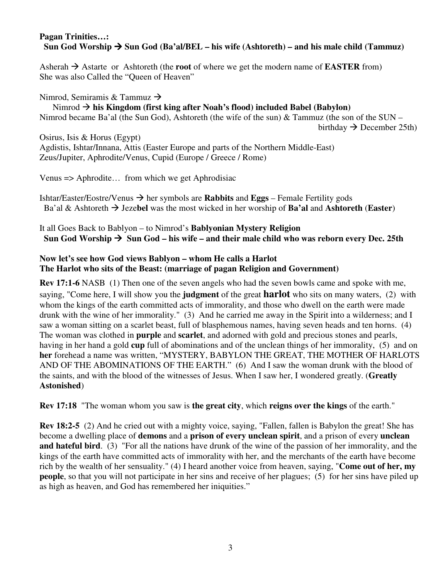#### **Pagan Trinities…:**  Sun God Worship  $\rightarrow$  Sun God (Ba'al/BEL – his wife (Ashtoreth) – and his male child (Tammuz)

Asherah  $\rightarrow$  Astarte or Ashtoreth (the **root** of where we get the modern name of **EASTER** from) She was also Called the "Queen of Heaven"

Nimrod, Semiramis & Tammuz  $\rightarrow$ Nimrod → his Kingdom (first king after Noah's flood) included Babel (Babylon) Nimrod became Ba'al (the Sun God), Ashtoreth (the wife of the sun) & Tammuz (the son of the SUN – birthday  $\rightarrow$  December 25th)

Osirus, Isis & Horus (Egypt) Agdistis, Ishtar/Innana, Attis (Easter Europe and parts of the Northern Middle-East) Zeus/Jupiter, Aphrodite/Venus, Cupid (Europe / Greece / Rome)

Venus => Aphrodite… from which we get Aphrodisiac

Ishtar/Easter/Eostre/Venus  $\rightarrow$  her symbols are **Rabbits** and **Eggs** – Female Fertility gods Ba'al & Ashtoreth  $\rightarrow$  Jezebel was the most wicked in her worship of **Ba'al** and **Ashtoreth** (**Easter**)

It all Goes Back to Bablyon – to Nimrod's **Bablyonian Mystery Religion** Sun God Worship  $\rightarrow$  Sun God – his wife – and their male child who was reborn every Dec. 25th

#### **Now let's see how God views Bablyon – whom He calls a Harlot The Harlot who sits of the Beast: (marriage of pagan Religion and Government)**

**Rev 17:1-6** NASB (1) Then one of the seven angels who had the seven bowls came and spoke with me, saying, "Come here, I will show you the **judgment** of the great **harlot** who sits on many waters, (2) with whom the kings of the earth committed acts of immorality, and those who dwell on the earth were made drunk with the wine of her immorality." (3) And he carried me away in the Spirit into a wilderness; and I saw a woman sitting on a scarlet beast, full of blasphemous names, having seven heads and ten horns. (4) The woman was clothed in **purple** and **scarlet**, and adorned with gold and precious stones and pearls, having in her hand a gold **cup** full of abominations and of the unclean things of her immorality, (5) and on **her** forehead a name was written, "MYSTERY, BABYLON THE GREAT, THE MOTHER OF HARLOTS AND OF THE ABOMINATIONS OF THE EARTH." (6) And I saw the woman drunk with the blood of the saints, and with the blood of the witnesses of Jesus. When I saw her, I wondered greatly. (**Greatly Astonished**)

**Rev 17:18** "The woman whom you saw is **the great city**, which **reigns over the kings** of the earth."

**Rev 18:2-5** (2) And he cried out with a mighty voice, saying, "Fallen, fallen is Babylon the great! She has become a dwelling place of **demons** and a **prison of every unclean spirit**, and a prison of every **unclean and hateful bird**. (3) "For all the nations have drunk of the wine of the passion of her immorality, and the kings of the earth have committed acts of immorality with her, and the merchants of the earth have become rich by the wealth of her sensuality." (4) I heard another voice from heaven, saying, "**Come out of her, my people**, so that you will not participate in her sins and receive of her plagues; (5) for her sins have piled up as high as heaven, and God has remembered her iniquities."